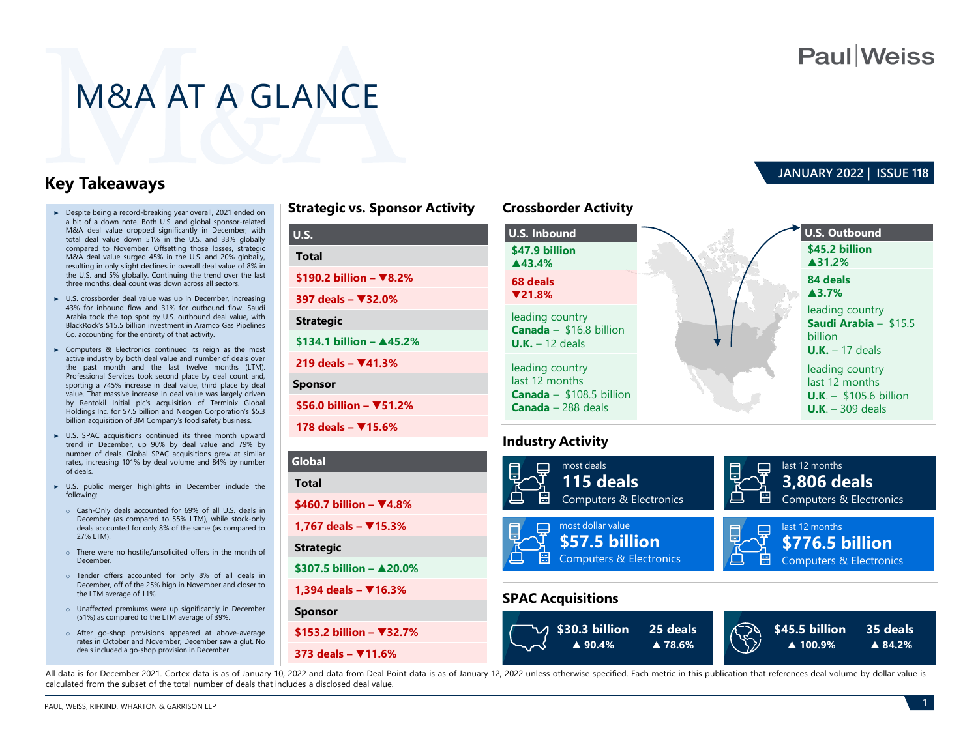# **Paul**Weiss

# M&A AT A GLANCE

**Sponsor**

### **Key Takeaways**

- ► Despite being a record-breaking year overall, 2021 ended on a bit of a down note. Both U.S. and global sponsor-related M&A deal value dropped significantly in December, with total deal value down 51% in the U.S. and 33% globally compared to November. Offsetting those losses, strategic M&A deal value surged 45% in the U.S. and 20% globally, resulting in only slight declines in overall deal value of 8% in the U.S. and 5% globally. Continuing the trend over the last three months, deal count was down across all sectors.
- ► U.S. crossborder deal value was up in December, increasing 43% for inbound flow and 31% for outbound flow. Saudi Arabia took the top spot by U.S. outbound deal value, with BlackRock's \$15.5 billion investment in Aramco Gas Pipelines Co. accounting for the entirety of that activity.
- ► Computers & Electronics continued its reign as the most active industry by both deal value and number of deals over the past month and the last twelve months (LTM). Professional Services took second place by deal count and, sporting a 745% increase in deal value, third place by deal value. That massive increase in deal value was largely driven by Rentokil Initial plc's acquisition of Terminix Global Holdings Inc. for \$7.5 billion and Neogen Corporation's \$5.3 billion acquisition of 3M Company's food safety business.
- ► U.S. SPAC acquisitions continued its three month upward trend in December, up 90% by deal value and 79% by number of deals. Global SPAC acquisitions grew at similar rates, increasing 101% by deal volume and 84% by number of deals.
- ► U.S. public merger highlights in December include the following:
	- o Cash-Only deals accounted for 69% of all U.S. deals in December (as compared to 55% LTM), while stock-only deals accounted for only 8% of the same (as compared to 27% LTM).
	- o There were no hostile/unsolicited offers in the month of December.
	- o Tender offers accounted for only 8% of all deals in December, off of the 25% high in November and closer to the LTM average of 11%.
	- o Unaffected premiums were up significantly in December (51%) as compared to the LTM average of 39%.
	- o After go-shop provisions appeared at above-average rates in October and November, December saw a glut. No deals included a go-shop provision in December.

| <b>Strategic vs. Sponsor Activity</b> | <b>Crossborder Activity</b>                         |
|---------------------------------------|-----------------------------------------------------|
| <b>U.S.</b>                           | <b>U.S. Inbound</b>                                 |
| <b>Total</b>                          | \$47.9 billion<br>$\blacktriangle$ 43.4%            |
| \$190.2 billion – $\Psi$ 8.2%         | 68 deals                                            |
| 397 deals - ₹32.0%                    | $\P$ 21.8%                                          |
| <b>Strategic</b>                      | leading country<br>Canada - \$16.8 billion          |
| \$134.1 billion - ▲45.2%              | $U.K. - 12$ deals                                   |
| 219 deals $ \Psi$ 41.3%               | leading country                                     |
| <b>Sponsor</b>                        | last 12 months<br><b>Canada</b> $-$ \$108.5 billion |
| \$56.0 billion - $\Psi$ 51.2%         | <b>Canada</b> $-$ 288 deals                         |
| 178 deals - ₹15.6%                    |                                                     |
|                                       | <b>Industry Activity</b>                            |
| Global                                | most deals                                          |
| <b>Total</b>                          | 115 deals                                           |
| \$460.7 billion – $\Psi$ 4.8%         | 日<br><b>Computers &amp; Electronics</b>             |
| 1,767 deals – $\Psi$ 15.3%            | most dollar value                                   |
| <b>Strategic</b>                      | \$57.5 billion                                      |
| \$307.5 billion $ \triangle$ 20.0%    | <b>Computers &amp; Electronics</b>                  |

### **JANUARY 2022 | ISSUE 118**





All data is for December 2021. Cortex data is as of January 10, 2022 and data from Deal Point data is as of January 12, 2022 unless otherwise specified. Each metric in this publication that references deal volume by dollar calculated from the subset of the total number of deals that includes a disclosed deal value.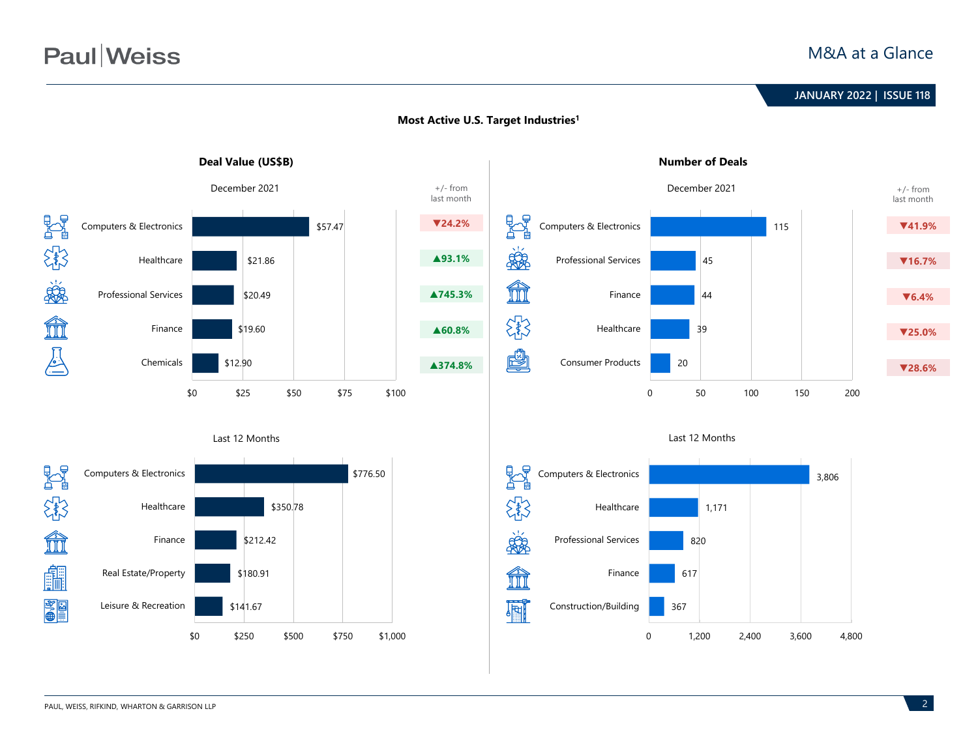# **Paul** Weiss

### M&A at a Glance

# **June 2020 | ISSUE 99 JANUARY 2022 | ISSUE 118**



### **Most Active U.S. Target Industries1**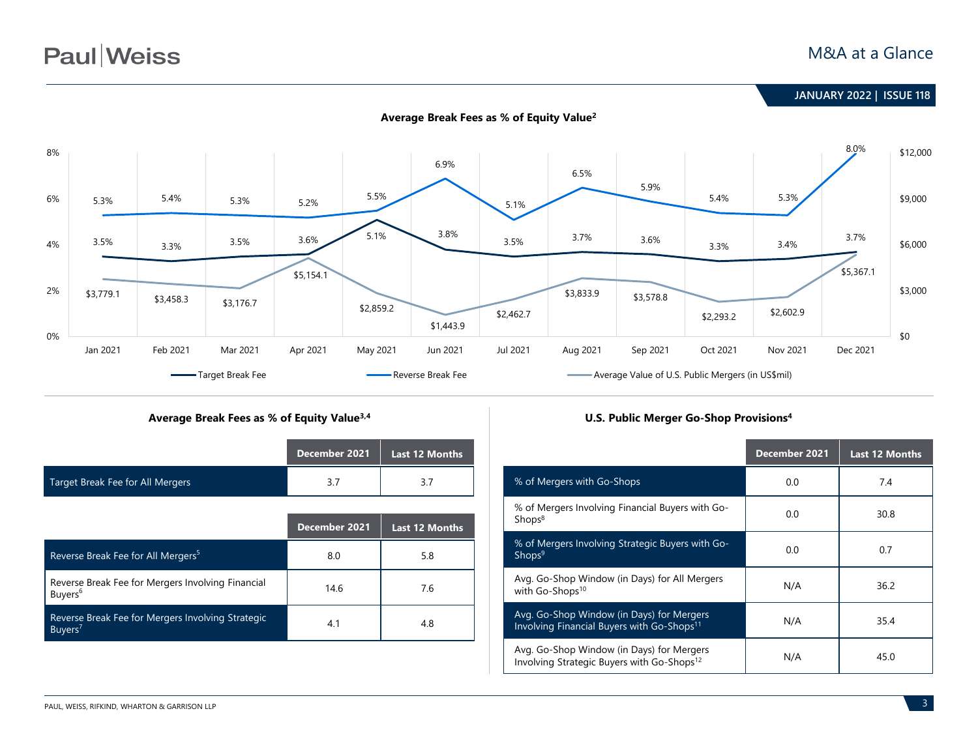# **Paul** Weiss

### M&A at a Glance



### Average Break Fees as % of Equity Value<sup>3,4</sup> **Later and Stream and Stream Provisions** U.S. Public Merger Go-Shop Provisions<sup>4</sup>

|                                  | December 2021 | Last 12 Months |
|----------------------------------|---------------|----------------|
| Target Break Fee for All Mergers |               |                |

|                                                                          | December 2021 | <b>Last 12 Months</b> |
|--------------------------------------------------------------------------|---------------|-----------------------|
| Reverse Break Fee for All Mergers <sup>5</sup>                           | 8.0           | 5.8                   |
| Reverse Break Fee for Mergers Involving Financial<br>Buyers <sup>6</sup> | 14.6          | 7.6                   |
| Reverse Break Fee for Mergers Involving Strategic<br>Buyers <sup>7</sup> | 4.1           | 4.8                   |

|                                                                                                     | December 2021 | <b>Last 12 Months</b> |
|-----------------------------------------------------------------------------------------------------|---------------|-----------------------|
| % of Mergers with Go-Shops                                                                          | 0.0           | 7.4                   |
| % of Mergers Involving Financial Buyers with Go-<br>Shops <sup>8</sup>                              | 0.0           | 30.8                  |
| % of Mergers Involving Strategic Buyers with Go-<br>Shops <sup>9</sup>                              | 0.0           | 0.7                   |
| Avg. Go-Shop Window (in Days) for All Mergers<br>with Go-Shops <sup>10</sup>                        | N/A           | 36.2                  |
| Avg. Go-Shop Window (in Days) for Mergers<br>Involving Financial Buyers with Go-Shops <sup>11</sup> | N/A           | 35.4                  |
| Avg. Go-Shop Window (in Days) for Mergers<br>Involving Strategic Buyers with Go-Shops <sup>12</sup> | N/A           | 45.0                  |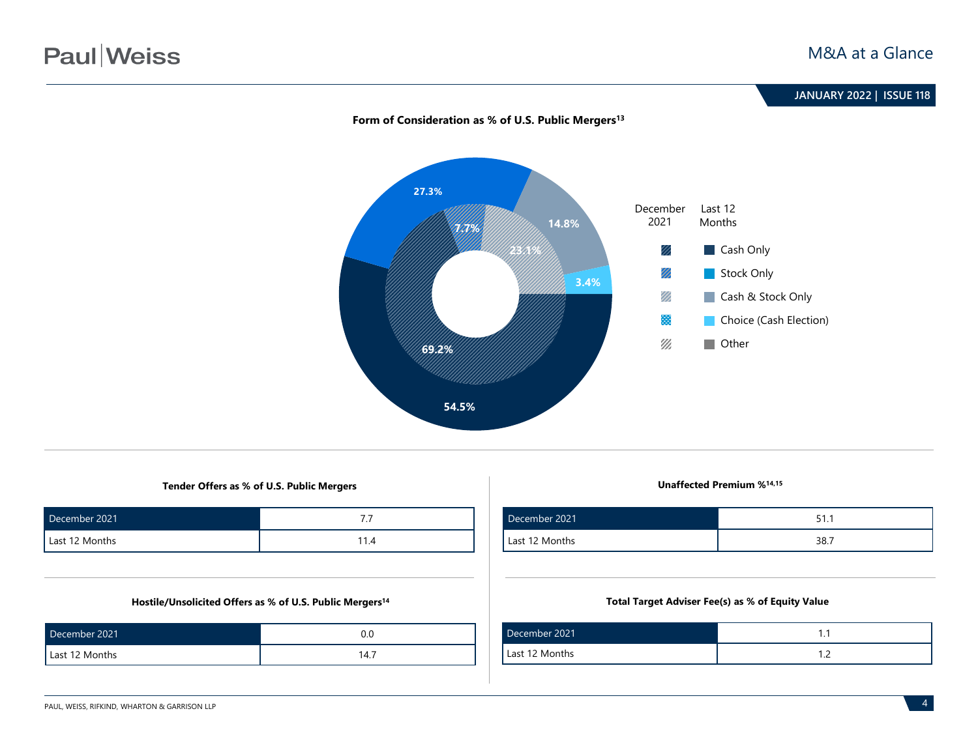

#### Form of Consideration as % of U.S. Public Mergers<sup>13</sup>

**Tender Offers as % of U.S. Public Mergers Unaffected Premium %14,15**

| December 2021  | . .  |
|----------------|------|
| Last 12 Months | 11.4 |

#### **Hostile/Unsolicited Offers as % of U.S. Public Mergers14**

| December 2021  |      |
|----------------|------|
| Last 12 Months | 14.7 |

| December 2021  | 51.1 |
|----------------|------|
| Last 12 Months | 38.7 |

#### **Total Target Adviser Fee(s) as % of Equity Value**

| December 2021  |   |
|----------------|---|
| Last 12 Months | . |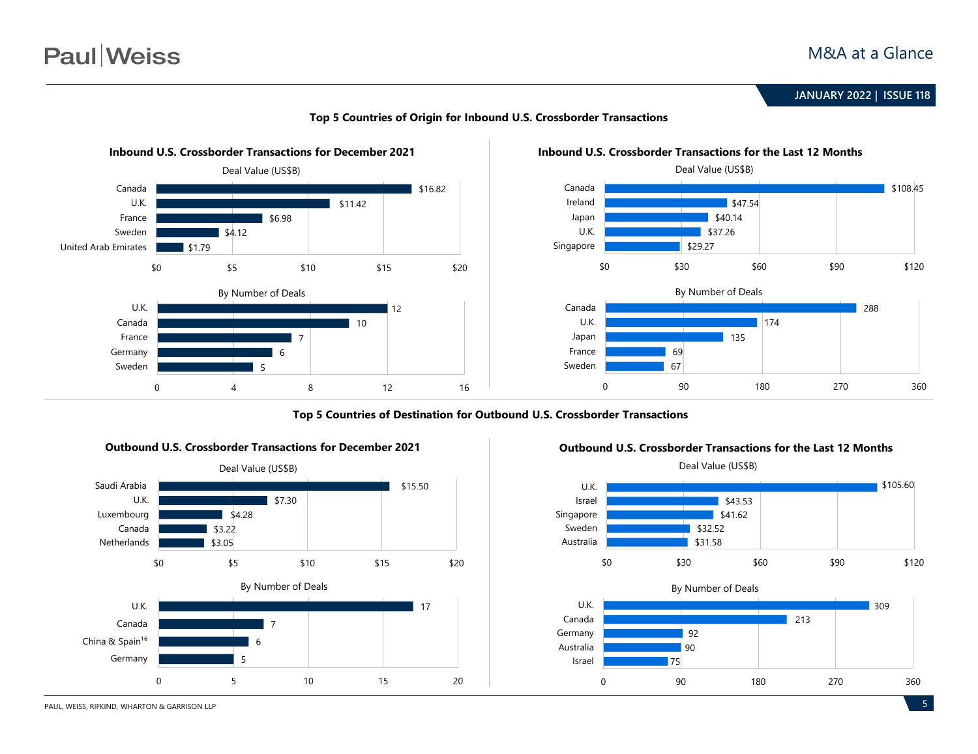# **Paul**Weiss

**June 2020 | ISSUE 99 JANUARY 2022 | ISSUE 118**



#### **Top 5 Countries of Origin for Inbound U.S. Crossborder Transactions**

**Top 5 Countries of Destination for Outbound U.S. Crossborder Transactions**





#### **Outbound U.S. Crossborder Transactions for the Last 12 Months**

0 90 180 270 360

PAUL, WEISS, RIFKIND, WHARTON & GARRISON LLP

\$105.60

309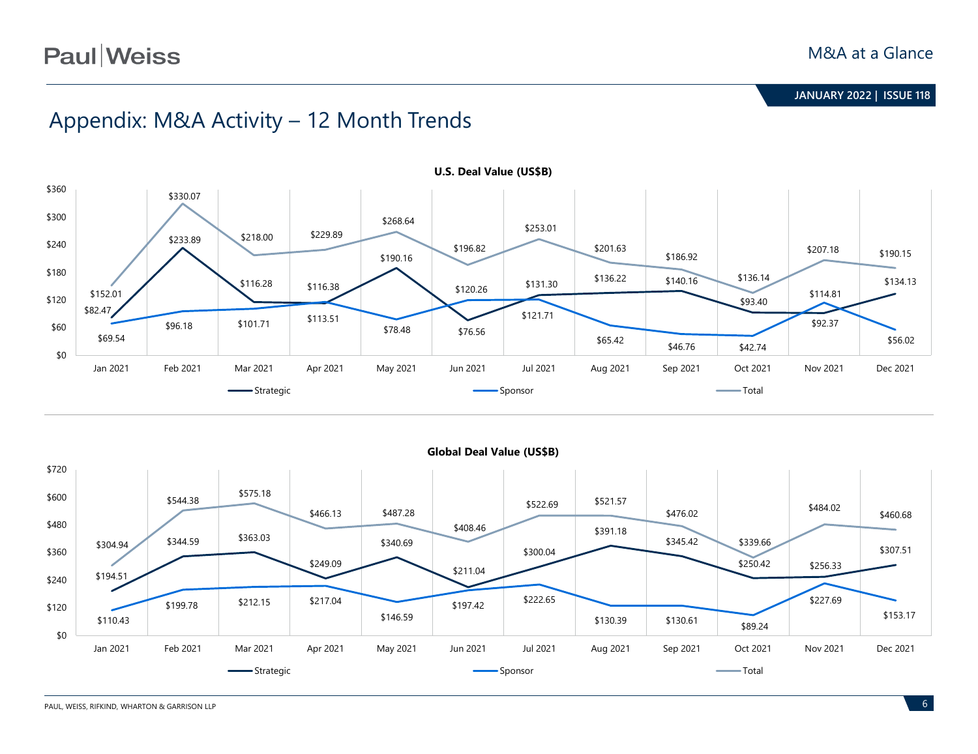# Appendix: M&A Activity – 12 Month Trends



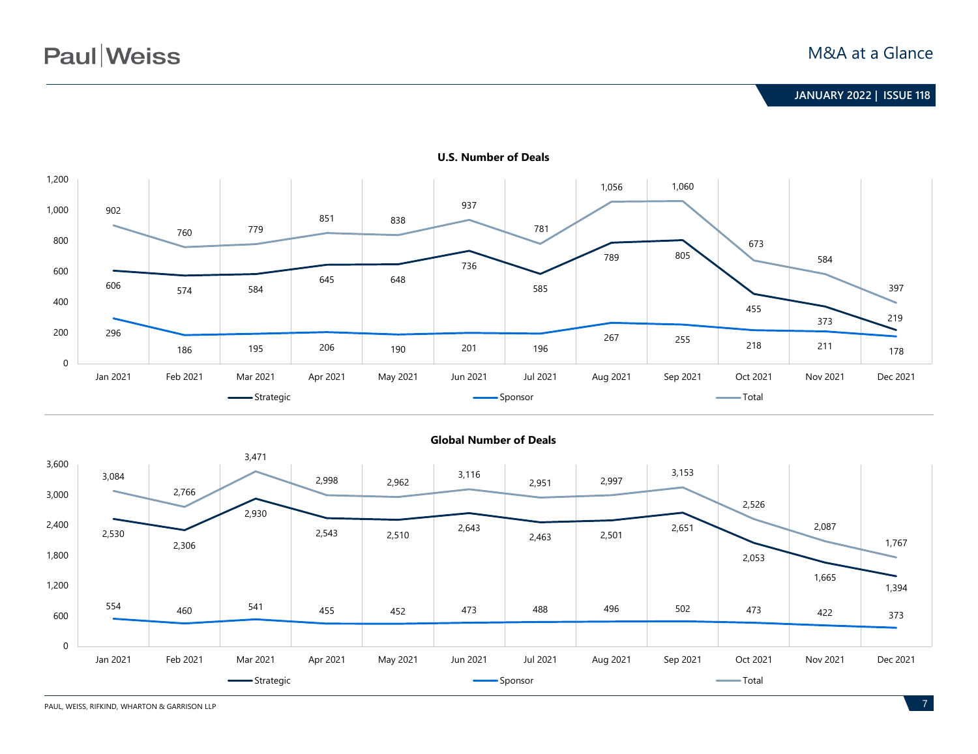

**U.S. Number of Deals**



**Global Number of Deals**

PAUL, WEISS, RIFKIND, WHARTON & GARRISON LLP **7**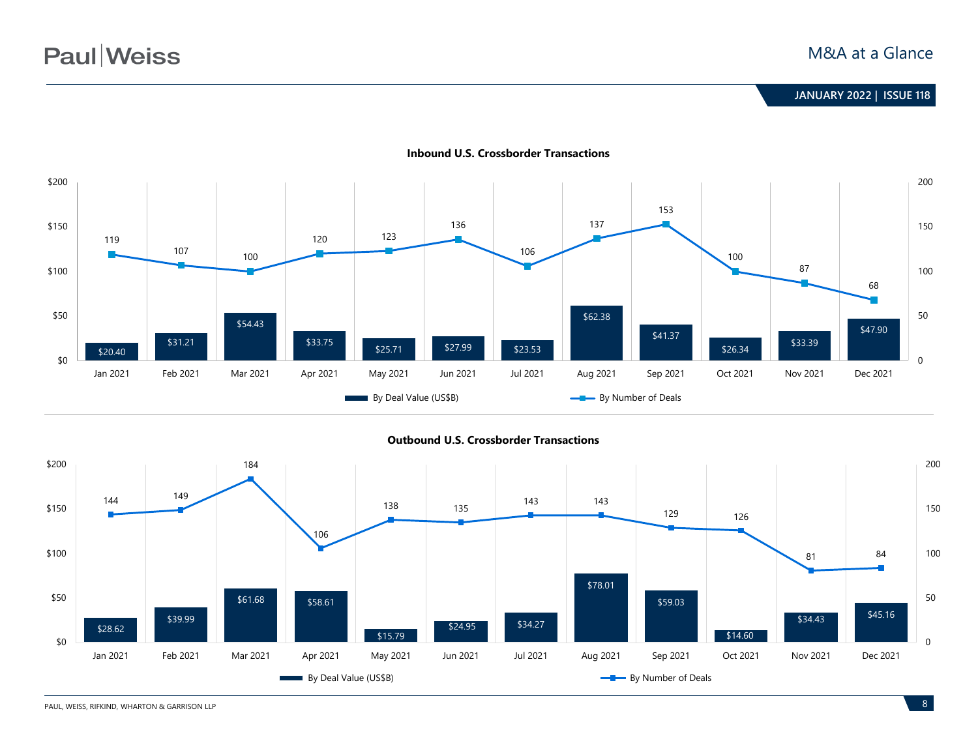

**Inbound U.S. Crossborder Transactions**

**Outbound U.S. Crossborder Transactions**

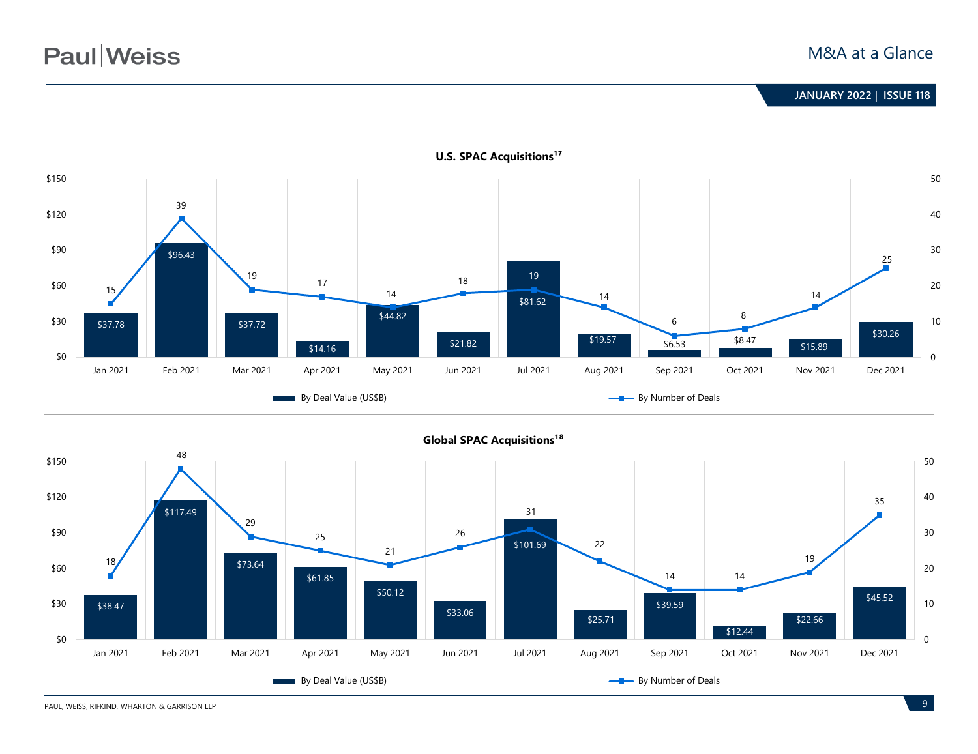



PAUL, WEISS, RIFKIND, WHARTON & GARRISON LLP **9** 

0

10

20

30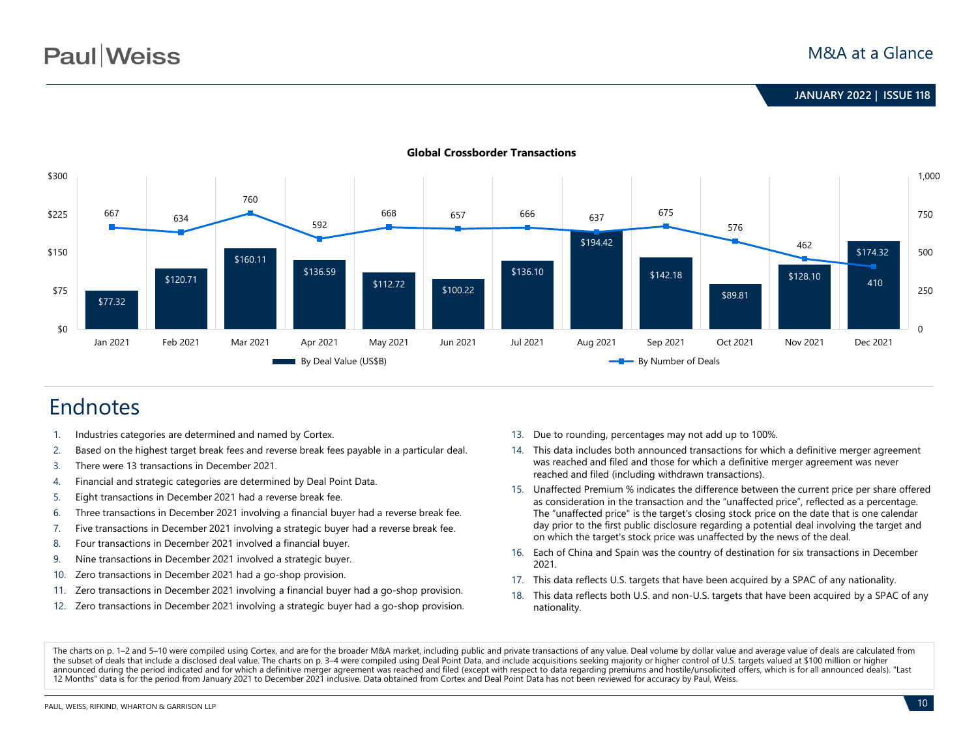

#### **Global Crossborder Transactions**

# Endnotes

- 1. Industries categories are determined and named by Cortex.
- 2. Based on the highest target break fees and reverse break fees payable in a particular deal.
- 3. There were 13 transactions in December 2021.
- 4. Financial and strategic categories are determined by Deal Point Data.
- 5. Eight transactions in December 2021 had a reverse break fee.
- 6. Three transactions in December 2021 involving a financial buyer had a reverse break fee.
- 7. Five transactions in December 2021 involving a strategic buyer had a reverse break fee.
- 8. Four transactions in December 2021 involved a financial buyer.
- 9. Nine transactions in December 2021 involved a strategic buyer.
- 10. Zero transactions in December 2021 had a go-shop provision.
- 11. Zero transactions in December 2021 involving a financial buyer had a go-shop provision.
- 12. Zero transactions in December 2021 involving a strategic buyer had a go-shop provision.
- 13. Due to rounding, percentages may not add up to 100%.
- 14. This data includes both announced transactions for which a definitive merger agreement was reached and filed and those for which a definitive merger agreement was never reached and filed (including withdrawn transactions).
- 15. Unaffected Premium % indicates the difference between the current price per share offered as consideration in the transaction and the "unaffected price", reflected as a percentage. The "unaffected price" is the target's closing stock price on the date that is one calendar day prior to the first public disclosure regarding a potential deal involving the target and on which the target's stock price was unaffected by the news of the deal.
- 16. Each of China and Spain was the country of destination for six transactions in December 2021.
- 17. This data reflects U.S. targets that have been acquired by a SPAC of any nationality.
- 18. This data reflects both U.S. and non-U.S. targets that have been acquired by a SPAC of any nationality.

The charts on p. 1–2 and 5–10 were compiled using Cortex, and are for the broader M&A market, including public and private transactions of any value. Deal volume by dollar value and average value of deals are calculated fr the subset of deals that include a disclosed deal value. The charts on p. 3–4 were compiled using Deal Point Data, and include acquisitions seeking majority or higher control of U.S. targets valued at \$100 million or higher announced during the period indicated and for which a definitive merger agreement was reached and filed (except with respect to data regarding premiums and hostile/unsolicited offers, which is for all announced deals). "La 12 Months" data is for the period from January 2021 to December 2021 inclusive. Data obtained from Cortex and Deal Point Data has not been reviewed for accuracy by Paul, Weiss.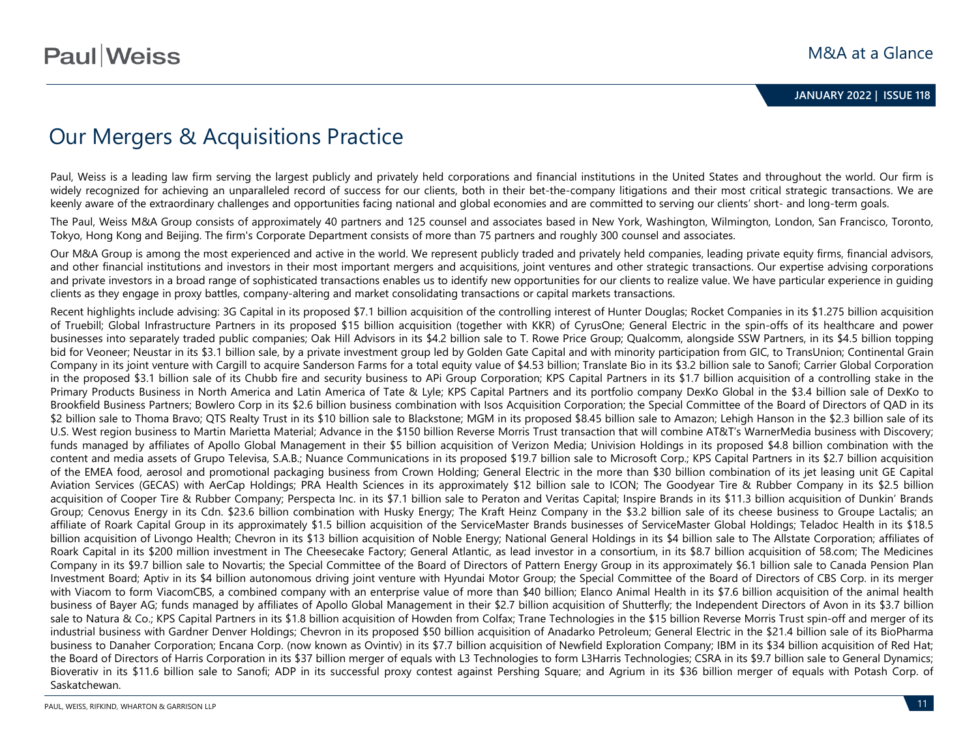# Our Mergers & Acquisitions Practice

Paul, Weiss is a leading law firm serving the largest publicly and privately held corporations and financial institutions in the United States and throughout the world. Our firm is widely recognized for achieving an unparalleled record of success for our clients, both in their bet-the-company litigations and their most critical strategic transactions. We are keenly aware of the extraordinary challenges and opportunities facing national and global economies and are committed to serving our clients' short- and long-term goals.

The Paul, Weiss M&A Group consists of approximately 40 partners and 125 counsel and associates based in New York, Washington, Wilmington, London, San Francisco, Toronto, Tokyo, Hong Kong and Beijing. The firm's Corporate Department consists of more than 75 partners and roughly 300 counsel and associates.

Our M&A Group is among the most experienced and active in the world. We represent publicly traded and privately held companies, leading private equity firms, financial advisors, and other financial institutions and investors in their most important mergers and acquisitions, joint ventures and other strategic transactions. Our expertise advising corporations and private investors in a broad range of sophisticated transactions enables us to identify new opportunities for our clients to realize value. We have particular experience in guiding clients as they engage in proxy battles, company-altering and market consolidating transactions or capital markets transactions.

Recent highlights include advising: 3G Capital in its proposed \$7.1 billion acquisition of the controlling interest of Hunter Douglas; Rocket Companies in its \$1.275 billion acquisition of Truebill; Global Infrastructure Partners in its proposed \$15 billion acquisition (together with KKR) of CyrusOne; General Electric in the spin-offs of its healthcare and power businesses into separately traded public companies; Oak Hill Advisors in its \$4.2 billion sale to T. Rowe Price Group; Qualcomm, alongside SSW Partners, in its \$4.5 billion topping bid for Veoneer; Neustar in its \$3.1 billion sale, by a private investment group led by Golden Gate Capital and with minority participation from GIC, to TransUnion; Continental Grain Company in its joint venture with Cargill to acquire Sanderson Farms for a total equity value of \$4.53 billion; Translate Bio in its \$3.2 billion sale to Sanofi; Carrier Global Corporation in the proposed \$3.1 billion sale of its Chubb fire and security business to APi Group Corporation; KPS Capital Partners in its \$1.7 billion acquisition of a controlling stake in the Primary Products Business in North America and Latin America of Tate & Lyle; KPS Capital Partners and its portfolio company DexKo Global in the \$3.4 billion sale of DexKo to Brookfield Business Partners; Bowlero Corp in its \$2.6 billion business combination with Isos Acquisition Corporation; the Special Committee of the Board of Directors of QAD in its \$2 billion sale to Thoma Bravo; QTS Realty Trust in its \$10 billion sale to Blackstone; MGM in its proposed \$8.45 billion sale to Amazon; Lehigh Hanson in the \$2.3 billion sale of its U.S. West region business to Martin Marietta Material; Advance in the \$150 billion Reverse Morris Trust transaction that will combine AT&T's WarnerMedia business with Discovery; funds managed by affiliates of Apollo Global Management in their \$5 billion acquisition of Verizon Media; Univision Holdings in its proposed \$4.8 billion combination with the content and media assets of Grupo Televisa, S.A.B.; Nuance Communications in its proposed \$19.7 billion sale to Microsoft Corp.; KPS Capital Partners in its \$2.7 billion acquisition of the EMEA food, aerosol and promotional packaging business from Crown Holding; General Electric in the more than \$30 billion combination of its jet leasing unit GE Capital Aviation Services (GECAS) with AerCap Holdings; PRA Health Sciences in its approximately \$12 billion sale to ICON; The Goodyear Tire & Rubber Company in its \$2.5 billion acquisition of Cooper Tire & Rubber Company; Perspecta Inc. in its \$7.1 billion sale to Peraton and Veritas Capital; Inspire Brands in its \$11.3 billion acquisition of Dunkin' Brands Group; Cenovus Energy in its Cdn. \$23.6 billion combination with Husky Energy; The Kraft Heinz Company in the \$3.2 billion sale of its cheese business to Groupe Lactalis; an affiliate of Roark Capital Group in its approximately \$1.5 billion acquisition of the ServiceMaster Brands businesses of ServiceMaster Global Holdings; Teladoc Health in its \$18.5 billion acquisition of Livongo Health; Chevron in its \$13 billion acquisition of Noble Energy; National General Holdings in its \$4 billion sale to The Allstate Corporation; affiliates of Roark Capital in its \$200 million investment in The Cheesecake Factory; General Atlantic, as lead investor in a consortium, in its \$8.7 billion acquisition of 58.com; The Medicines Company in its \$9.7 billion sale to Novartis; the Special Committee of the Board of Directors of Pattern Energy Group in its approximately \$6.1 billion sale to Canada Pension Plan Investment Board; Aptiv in its \$4 billion autonomous driving joint venture with Hyundai Motor Group; the Special Committee of the Board of Directors of CBS Corp. in its merger with Viacom to form ViacomCBS, a combined company with an enterprise value of more than \$40 billion; Elanco Animal Health in its \$7.6 billion acquisition of the animal health business of Bayer AG; funds managed by affiliates of Apollo Global Management in their \$2.7 billion acquisition of Shutterfly; the Independent Directors of Avon in its \$3.7 billion sale to Natura & Co.; KPS Capital Partners in its \$1.8 billion acquisition of Howden from Colfax; Trane Technologies in the \$15 billion Reverse Morris Trust spin-off and merger of its industrial business with Gardner Denver Holdings; Chevron in its proposed \$50 billion acquisition of Anadarko Petroleum; General Electric in the \$21.4 billion sale of its BioPharma business to Danaher Corporation; Encana Corp. (now known as Ovintiv) in its \$7.7 billion acquisition of Newfield Exploration Company; IBM in its \$34 billion acquisition of Red Hat; the Board of Directors of Harris Corporation in its \$37 billion merger of equals with L3 Technologies to form L3Harris Technologies; CSRA in its \$9.7 billion sale to General Dynamics; Bioverativ in its \$11.6 billion sale to Sanofi; ADP in its successful proxy contest against Pershing Square; and Agrium in its \$36 billion merger of equals with Potash Corp. of Saskatchewan.